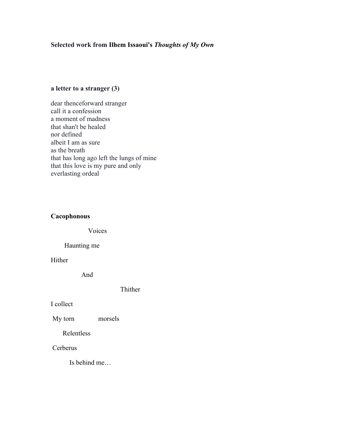# **Selected work from Ilhem Issaoui's** *Thoughts of My Own*

# **a letter to a stranger (3)**

dear thenceforward stranger call it a confession a moment of madness that shan't be healed nor defined albeit I am as sure as the breath that has long ago left the lungs of mine that this love is my pure and only everlasting ordeal

# **Cacophonous**

Voices

### Haunting me

Hither

And

Thither

### I collect

My torn morsels

Relentless

## Cerberus

Is behind me…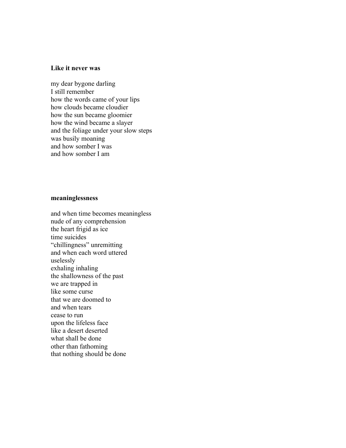### **Like it never was**

my dear bygone darling I still remember how the words came of your lips how clouds became cloudier how the sun became gloomier how the wind became a slayer and the foliage under your slow steps was busily moaning and how somber I was and how somber I am

#### **meaninglessness**

and when time becomes meaningless nude of any comprehension the heart frigid as ice time suicides "chillingness" unremitting and when each word uttered uselessly exhaling inhaling the shallowness of the past we are trapped in like some curse that we are doomed to and when tears cease to run upon the lifeless face like a desert deserted what shall be done other than fathoming that nothing should be done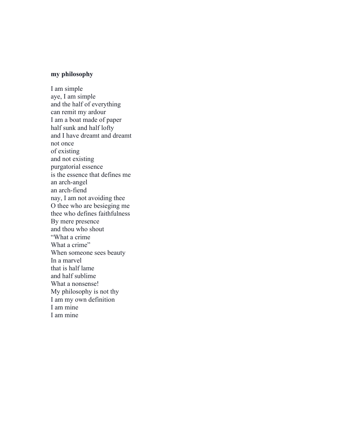#### **my philosophy**

I am simple aye, I am simple and the half of everything can remit my ardour I am a boat made of paper half sunk and half lofty and I have dreamt and dreamt not once of existing and not existing purgatorial essence is the essence that defines me an arch-angel an arch-fiend nay, I am not avoiding thee O thee who are besieging me thee who defines faithfulness By mere presence and thou who shout "What a crime What a crime" When someone sees beauty In a marvel that is half lame and half sublime What a nonsense! My philosophy is not thy I am my own definition I am mine I am mine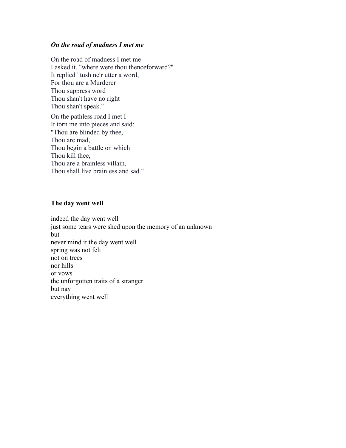### *On the road of madness I met me*

On the road of madness I met me I asked it, "where were thou thenceforward?" It replied "tush ne'r utter a word, For thou are a Murderer Thou suppress word Thou shan't have no right Thou shan't speak."

On the pathless road I met I It torn me into pieces and said: "Thou are blinded by thee, Thou are mad, Thou begin a battle on which Thou kill thee, Thou are a brainless villain, Thou shall live brainless and sad."

### **The day went well**

indeed the day went well just some tears were shed upon the memory of an unknown but never mind it the day went well spring was not felt not on trees nor hills or vows the unforgotten traits of a stranger but nay everything went well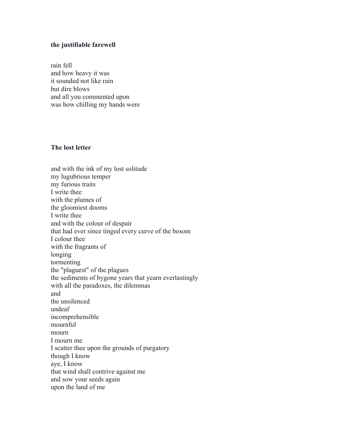#### **the justifiable farewell**

rain fell and how heavy it was it sounded not like rain but dire blows and all you commented upon was how chilling my hands were

### **The lost letter**

and with the ink of my lost solitude my lugubrious temper my furious traits I write thee with the plumes of the gloomiest dooms I write thee and with the colour of despair that had ever since tinged every curve of the bosom I colour thee with the fragrants of longing tormenting the "plaguest" of the plagues the sediments of bygone years that yearn everlastingly with all the paradoxes, the dilemmas and the unsilenced undeaf incomprehensible mournful mourn I mourn me I scatter thee upon the grounds of purgatory though I know aye, I know that wind shall contrive against me and sow your seeds again upon the land of me